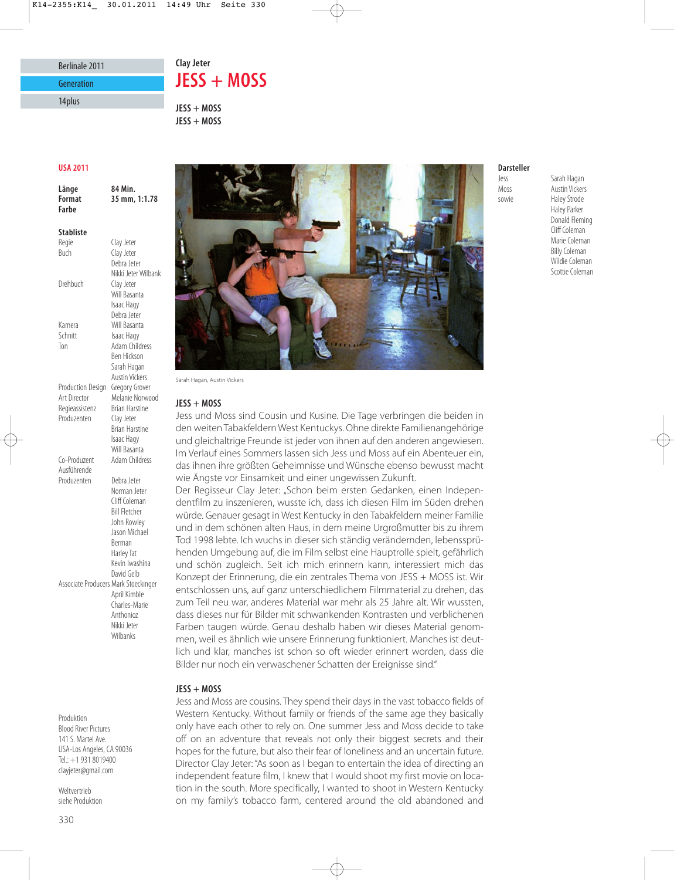## Berlinale 2011 **Generation**

14plus

# Clay Jeter<br>**JESS + MOSS**

**JESS + MOSS JESS + MOSS**

#### **USA 2011**

**Länge 84 Min. Farhe** 

**Stabliste** Regie Clay Jeter<br>Buch Clay Jeter Clay Jeter Debra Jeter Nikki Jeter Wilbank Drehbuch Clay Jeter Will Basanta Isaac Hagy Debra Jeter Kamera Will Basanta Schnitt Isaac Hagy Ton Adam Childress Ben Hickson Sarah Hagan Austin Vickers Production Design Gregory Grover Art Director Melanie Norwood<br>Regieassistenz Brian Harstine Regieassistenz Brian Harstines<br>Produzenten Clav Jeter Produzenten Brian Harstine Isaac Hagy Will Basanta Co-Produzent Adam Childress Ausführende Produzenten Debra Jeter Norman Jeter Cliff Coleman Bill Fletcher John Rowley Jason Michael Berman Harley Tat Kevin Iwashina David Gelb Associate Producers Mark Stoeckinger April Kimble Charles-Marie Anthonioz Nikki Jeter Wilbanks

### Produktion Blood River Pictures 141 S. Martel Ave. USA-Los Angeles, CA 90036 Tel.: +1 931 8019400 clayjeter@gmail.com

Weltvertrieb siehe Produktion



Sarah Hagan, Austin Vickers

#### $JESS + MOSS$

**JESS + MOSS** Jess und Moss sind Cousin und Kusine. Die Tage verbringen die beiden in den weiten Tabakfeldern West Kentuckys. Ohne direkte Familienangehörige und gleichaltrige Freunde ist jeder von ihnen auf den anderen angewiesen. Im Verlauf eines Sommers lassen sich Jess und Moss auf ein Abenteuer ein, das ihnen ihre größten Geheimnisse und Wünsche ebenso bewusst macht wie Ängste vor Einsamkeit und einer ungewissen Zukunft.

Der Regisseur Clay Jeter: "Schon beim ersten Gedanken, einen Independent film zu inszenieren, wusste ich, dass ich diesen Film im Süden drehen würde. Genauer gesagt in West Kentucky in den Tabakfeldern meiner Familie und in dem schönen alten Haus, in dem meine Urgroßmutter bis zu ihrem Tod 1998 lebte. Ich wuchs in dieser sich ständig verändernden, lebenssprühenden Umgebung auf, die im Film selbst eine Hauptrolle spielt, gefährlich und schön zugleich. Seit ich mich erinnern kann, interessiert mich das Konzept der Erinnerung, die ein zentrales Thema von JESS + MOSS ist. Wir entschlossen uns, auf ganz unterschiedlichem Filmmaterial zu drehen, das zum Teil neu war, anderes Material war mehr als 25 Jahre alt. Wir wussten, dass dieses nur für Bilder mit schwankenden Kontrasten und verblichenen Farben taugen würde. Genau deshalb haben wir dieses Material genommen, weil es ähnlich wie unsere Erinnerung funktioniert. Manches ist deutlich und klar, manches ist schon so oft wieder erinnert worden, dass die Bilder nur noch ein verwaschener Schatten der Ereignisse sind."

### $JESS + MOSS$

**JESS + MOSS** Jess and Moss are cousins. They spend their days in the vast tobacco fields of Western Kentucky. Without family or friends of the same age they basically only have each other to rely on. One summer Jess and Moss decide to take off on an adventure that reveals not only their biggest secrets and their hopes for the future, but also their fear of loneliness and an uncertain future. Director Clay Jeter: "As soon as I began to entertain the idea of directing an independent feature film, I knew that I would shoot my first movie on location in the south. More specifically, I wanted to shoot in Western Kentucky on my family's tobacco farm, centered around the old abandoned and

#### **Darsteller**

less

Jess Sarah Hagan **Austin Vickers** sowie Haley Strode Haley Parker Donald Fleming Cliff Coleman Marie Coleman Billy Coleman Wildie Coleman Scottie Coleman